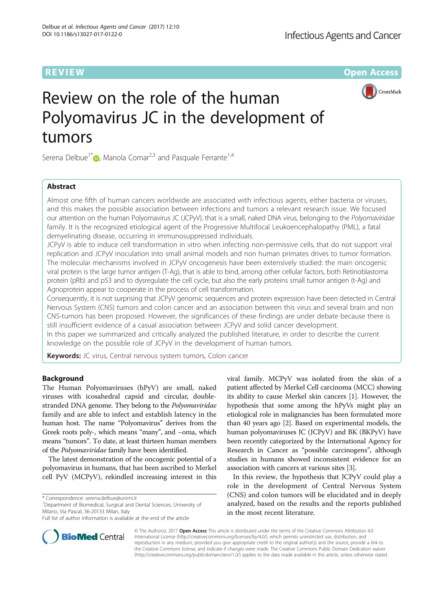**REVIEW ACCESS AND LOCAL CONTRACT CONTRACT OF ACCESS** 



# Review on the role of the human Polyomavirus JC in the development of tumors

Serena Delbue<sup>1\*</sup><sup>1</sup> $\Phi$ [,](http://orcid.org/0000-0002-3199-9369) Manola Comar<sup>2,3</sup> and Pasquale Ferrante<sup>1,4</sup>

## Abstract

Almost one fifth of human cancers worldwide are associated with infectious agents, either bacteria or viruses, and this makes the possible association between infections and tumors a relevant research issue. We focused our attention on the human Polyomavirus JC (JCPyV), that is a small, naked DNA virus, belonging to the Polyomaviridae family. It is the recognized etiological agent of the Progressive Multifocal Leukoencephalopathy (PML), a fatal demyelinating disease, occurring in immunosuppressed individuals.

JCPyV is able to induce cell transformation in vitro when infecting non-permissive cells, that do not support viral replication and JCPyV inoculation into small animal models and non human primates drives to tumor formation. The molecular mechanisms involved in JCPyV oncogenesis have been extensively studied: the main oncogenic viral protein is the large tumor antigen (T-Ag), that is able to bind, among other cellular factors, both Retinoblastoma protein (pRb) and p53 and to dysregulate the cell cycle, but also the early proteins small tumor antigen (t-Ag) and Agnoprotein appear to cooperate in the process of cell transformation.

Consequently, it is not surprising that JCPyV genomic sequences and protein expression have been detected in Central Nervous System (CNS) tumors and colon cancer and an association between this virus and several brain and non CNS-tumors has been proposed. However, the significances of these findings are under debate because there is still insufficient evidence of a casual association between JCPyV and solid cancer development.

In this paper we summarized and critically analyzed the published literature, in order to describe the current knowledge on the possible role of JCPyV in the development of human tumors.

**Keywords:** JC virus, Central nervous system tumors, Colon cancer

## Background

The Human Polyomaviruses (hPyV) are small, naked viruses with icosahedral capsid and circular, doublestranded DNA genome. They belong to the Polyomaviridae family and are able to infect and establish latency in the human host. The name "Polyomavirus" derives from the Greek roots poly-, which means "many", and –oma, which means "tumors". To date, at least thirteen human members of the Polyomaviridae family have been identified.

The latest demonstration of the oncogenic potential of a polyomavirus in humans, that has been ascribed to Merkel cell PyV (MCPyV), rekindled increasing interest in this

<sup>1</sup>Department of Biomedical, Surgical and Dental Sciences, University of Milano, Via Pascal, 36-20133 Milan, Italy

viral family. MCPyV was isolated from the skin of a patient affected by Merkel Cell carcinoma (MCC) showing its ability to cause Merkel skin cancers [\[1](#page-10-0)]. However, the hypothesis that some among the hPyVs might play an etiological role in malignancies has been formulated more than 40 years ago [[2](#page-10-0)]. Based on experimental models, the human polyomaviruses JC (JCPyV) and BK (BKPyV) have been recently categorized by the International Agency for Research in Cancer as "possible carcinogens", although studies in humans showed inconsistent evidence for an association with cancers at various sites [\[3](#page-10-0)].

In this review, the hypothesis that JCPyV could play a role in the development of Central Nervous System (CNS) and colon tumors will be elucidated and in deeply analyzed, based on the results and the reports published in the most recent literature.



© The Author(s). 2017 **Open Access** This article is distributed under the terms of the Creative Commons Attribution 4.0 International License [\(http://creativecommons.org/licenses/by/4.0/](http://creativecommons.org/licenses/by/4.0/)), which permits unrestricted use, distribution, and reproduction in any medium, provided you give appropriate credit to the original author(s) and the source, provide a link to the Creative Commons license, and indicate if changes were made. The Creative Commons Public Domain Dedication waiver [\(http://creativecommons.org/publicdomain/zero/1.0/](http://creativecommons.org/publicdomain/zero/1.0/)) applies to the data made available in this article, unless otherwise stated.

<sup>\*</sup> Correspondence: [serena.delbue@unimi.it](mailto:serena.delbue@unimi.it) <sup>1</sup>

Full list of author information is available at the end of the article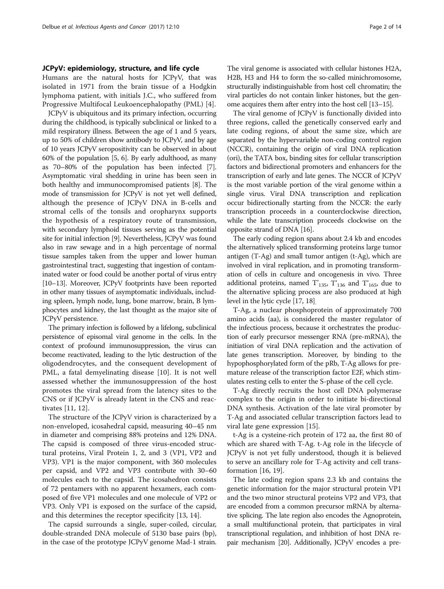## JCPyV: epidemiology, structure, and life cycle

Humans are the natural hosts for JCPyV, that was isolated in 1971 from the brain tissue of a Hodgkin lymphoma patient, with initials J.C., who suffered from Progressive Multifocal Leukoencephalopathy (PML) [\[4](#page-10-0)].

JCPyV is ubiquitous and its primary infection, occurring during the childhood, is typically subclinical or linked to a mild respiratory illness. Between the age of 1 and 5 years, up to 50% of children show antibody to JCPyV, and by age of 10 years JCPyV seropositivity can be observed in about 60% of the population [[5](#page-10-0), [6](#page-10-0)]. By early adulthood, as many as 70–80% of the population has been infected [[7](#page-10-0)]. Asymptomatic viral shedding in urine has been seen in both healthy and immunocompromised patients [[8\]](#page-10-0). The mode of transmission for JCPyV is not yet well defined, although the presence of JCPyV DNA in B-cells and stromal cells of the tonsils and oropharynx supports the hypothesis of a respiratory route of transmission, with secondary lymphoid tissues serving as the potential site for initial infection [[9\]](#page-10-0). Nevertheless, JCPyV was found also in raw sewage and in a high percentage of normal tissue samples taken from the upper and lower human gastrointestinal tract, suggesting that ingestion of contaminated water or food could be another portal of virus entry [[10](#page-10-0)–[13\]](#page-10-0). Moreover, JCPyV footprints have been reported in other many tissues of asymptomatic individuals, including spleen, lymph node, lung, bone marrow, brain, B lymphocytes and kidney, the last thought as the major site of JCPyV persistence.

The primary infection is followed by a lifelong, subclinical persistence of episomal viral genome in the cells. In the context of profound immunosuppression, the virus can become reactivated, leading to the lytic destruction of the oligodendrocytes, and the consequent development of PML, a fatal demyelinating disease [\[10](#page-10-0)]. It is not well assessed whether the immunosuppression of the host promotes the viral spread from the latency sites to the CNS or if JCPyV is already latent in the CNS and reactivates [[11](#page-10-0), [12\]](#page-10-0).

The structure of the JCPyV virion is characterized by a non-enveloped, icosahedral capsid, measuring 40–45 nm in diameter and comprising 88% proteins and 12% DNA. The capsid is composed of three virus-encoded structural proteins, Viral Protein 1, 2, and 3 (VP1, VP2 and VP3). VP1 is the major component, with 360 molecules per capsid, and VP2 and VP3 contribute with 30–60 molecules each to the capsid. The icosahedron consists of 72 pentamers with no apparent hexamers, each composed of five VP1 molecules and one molecule of VP2 or VP3. Only VP1 is exposed on the surface of the capsid, and this determines the receptor specificity [[13, 14\]](#page-10-0).

The capsid surrounds a single, super-coiled, circular, double-stranded DNA molecule of 5130 base pairs (bp), in the case of the prototype JCPyV genome Mad-1 strain.

The viral genome is associated with cellular histones H2A, H2B, H3 and H4 to form the so-called minichromosome, structurally indistinguishable from host cell chromatin; the viral particles do not contain linker histones, but the genome acquires them after entry into the host cell [\[13](#page-10-0)–[15\]](#page-10-0).

The viral genome of JCPyV is functionally divided into three regions, called the genetically conserved early and late coding regions, of about the same size, which are separated by the hypervariable non-coding control region (NCCR), containing the origin of viral DNA replication (ori), the TATA box, binding sites for cellular transcription factors and bidirectional promoters and enhancers for the transcription of early and late genes. The NCCR of JCPyV is the most variable portion of the viral genome within a single virus. Viral DNA transcription and replication occur bidirectionally starting from the NCCR: the early transcription proceeds in a counterclockwise direction, while the late transcription proceeds clockwise on the opposite strand of DNA [\[16](#page-10-0)].

The early coding region spans about 2.4 kb and encodes the alternatively spliced transforming proteins large tumor antigen (T-Ag) and small tumor antigen (t-Ag), which are involved in viral replication, and in promoting transformation of cells in culture and oncogenesis in vivo. Three additional proteins, named  $T'_{135}$ ,  $T'_{136}$  and  $T'_{165}$ , due to the alternative splicing process are also produced at high level in the lytic cycle [[17](#page-10-0), [18\]](#page-10-0).

T-Ag, a nuclear phosphoprotein of approximately 700 amino acids (aa), is considered the master regulator of the infectious process, because it orchestrates the production of early precursor messenger RNA (pre-mRNA), the initiation of viral DNA replication and the activation of late genes transcription. Moreover, by binding to the hypophosphorylated form of the pRb, T-Ag allows for premature release of the transcription factor E2F, which stimulates resting cells to enter the S-phase of the cell cycle.

T-Ag directly recruits the host cell DNA polymerase complex to the origin in order to initiate bi-directional DNA synthesis. Activation of the late viral promoter by T-Ag and associated cellular transcription factors lead to viral late gene expression [[15\]](#page-10-0).

t-Ag is a cysteine-rich protein of 172 aa, the first 80 of which are shared with T-Ag. t-Ag role in the lifecycle of JCPyV is not yet fully understood, though it is believed to serve an ancillary role for T-Ag activity and cell transformation [\[16](#page-10-0), [19](#page-10-0)].

The late coding region spans 2.3 kb and contains the genetic information for the major structural protein VP1 and the two minor structural proteins VP2 and VP3, that are encoded from a common precursor mRNA by alternative splicing. The late region also encodes the Agnoprotein, a small multifunctional protein, that participates in viral transcriptional regulation, and inhibition of host DNA repair mechanism [\[20\]](#page-10-0). Additionally, JCPyV encodes a pre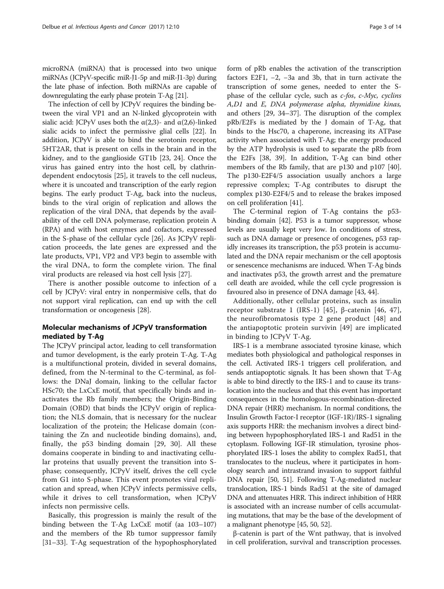microRNA (miRNA) that is processed into two unique miRNAs (JCPyV-specific miR-J1-5p and miR-J1-3p) during the late phase of infection. Both miRNAs are capable of downregulating the early phase protein T-Ag [\[21\]](#page-10-0).

The infection of cell by JCPyV requires the binding between the viral VP1 and an N-linked glycoprotein with sialic acid: JCPyV uses both the  $\alpha(2,3)$ - and  $\alpha(2,6)$ -linked sialic acids to infect the permissive glial cells [[22\]](#page-11-0). In addition, JCPyV is able to bind the serotonin receptor, 5HT2AR, that is present on cells in the brain and in the kidney, and to the ganglioside GT1b [\[23](#page-11-0), [24\]](#page-11-0). Once the virus has gained entry into the host cell, by clathrindependent endocytosis [\[25\]](#page-11-0), it travels to the cell nucleus, where it is uncoated and transcription of the early region begins. The early product T-Ag, back into the nucleus, binds to the viral origin of replication and allows the replication of the viral DNA, that depends by the availability of the cell DNA polymerase, replication protein A (RPA) and with host enzymes and cofactors, expressed in the S-phase of the cellular cycle [\[26](#page-11-0)]. As JCPyV replication proceeds, the late genes are expressed and the late products, VP1, VP2 and VP3 begin to assemble with the viral DNA, to form the complete virion. The final viral products are released via host cell lysis [\[27](#page-11-0)].

There is another possible outcome to infection of a cell by JCPyV: viral entry in nonpermisive cells, that do not support viral replication, can end up with the cell transformation or oncogenesis [\[28](#page-11-0)].

## Molecular mechanisms of JCPyV transformation mediated by T-Ag

The JCPyV principal actor, leading to cell transformation and tumor development, is the early protein T-Ag. T-Ag is a multifunctional protein, divided in several domains, defined, from the N-terminal to the C-terminal, as follows: the DNaJ domain, linking to the cellular factor HSc70; the LxCxE motif, that specifically binds and inactivates the Rb family members; the Origin-Binding Domain (OBD) that binds the JCPyV origin of replication; the NLS domain, that is necessary for the nuclear localization of the protein; the Helicase domain (containing the Zn and nucleotide binding domains), and, finally, the p53 binding domain [\[29](#page-11-0), [30\]](#page-11-0). All these domains cooperate in binding to and inactivating cellular proteins that usually prevent the transition into Sphase; consequently, JCPyV itself, drives the cell cycle from G1 into S-phase. This event promotes viral replication and spread, when JCPyV infects permissive cells, while it drives to cell transformation, when JCPyV infects non permissive cells.

Basically, this progression is mainly the result of the binding between the T-Ag LxCxE motif (aa 103–107) and the members of the Rb tumor suppressor family [[31](#page-11-0)–[33](#page-11-0)]. T-Ag sequestration of the hypophosphorylated form of pRb enables the activation of the transcription factors E2F1, −2, −3a and 3b, that in turn activate the transcription of some genes, needed to enter the Sphase of the cellular cycle, such as  $c$ -fos,  $c$ -Myc, cyclins A,D1 and E, DNA polymerase alpha, thymidine kinas, and others [[29, 34](#page-11-0)–[37](#page-11-0)]. The disruption of the complex pRb/E2Fs is mediated by the J domain of T-Ag, that binds to the Hsc70, a chaperone, increasing its ATPase activity when associated with T-Ag; the energy produced by the ATP hydrolysis is used to separate the pRb from the E2Fs [[38](#page-11-0), [39](#page-11-0)]. In addition, T-Ag can bind other members of the Rb family, that are p130 and p107 [\[40](#page-11-0)]. The p130-E2F4/5 association usually anchors a large repressive complex; T-Ag contributes to disrupt the complex p130-E2F4/5 and to release the brakes imposed on cell proliferation [[41\]](#page-11-0).

The C-terminal region of T-Ag contains the p53 binding domain [\[42\]](#page-11-0). P53 is a tumor suppressor, whose levels are usually kept very low. In conditions of stress, such as DNA damage or presence of oncogenes, p53 rapidly increases its transcription, the p53 protein is accumulated and the DNA repair mechanism or the cell apoptosis or senescence mechanisms are induced. When T-Ag binds and inactivates p53, the growth arrest and the premature cell death are avoided, while the cell cycle progression is favoured also in presence of DNA damage [\[43, 44](#page-11-0)].

Additionally, other cellular proteins, such as insulin receptor substrate 1 (IRS-1) [[45](#page-11-0)], β-catenin [[46, 47](#page-11-0)], the neurofibromatosis type 2 gene product [[48\]](#page-11-0) and the antiapoptotic protein survivin [\[49\]](#page-11-0) are implicated in binding to JCPyV T-Ag.

IRS-1 is a membrane associated tyrosine kinase, which mediates both physiological and pathological responses in the cell. Activated IRS-1 triggers cell proliferation, and sends antiapoptotic signals. It has been shown that T-Ag is able to bind directly to the IRS-1 and to cause its translocation into the nucleus and that this event has important consequences in the homologous-recombination-directed DNA repair (HRR) mechanism. In normal conditions, the Insulin Growth Factor-I receptor (IGF-1R)/IRS-1 signaling axis supports HRR: the mechanism involves a direct binding between hypophosphorylated IRS-1 and Rad51 in the cytoplasm. Following IGF-IR stimulation, tyrosine phosphorylated IRS-1 loses the ability to complex Rad51, that translocates to the nucleus, where it participates in homology search and intrastrand invasion to support faithful DNA repair [\[50](#page-11-0), [51\]](#page-11-0). Following T-Ag-mediated nuclear translocation, IRS-1 binds Rad51 at the site of damaged DNA and attenuates HRR. This indirect inhibition of HRR is associated with an increase number of cells accumulating mutations, that may be the base of the development of a malignant phenotype [[45](#page-11-0), [50, 52\]](#page-11-0).

β-catenin is part of the Wnt pathway, that is involved in cell proliferation, survival and transcription processes.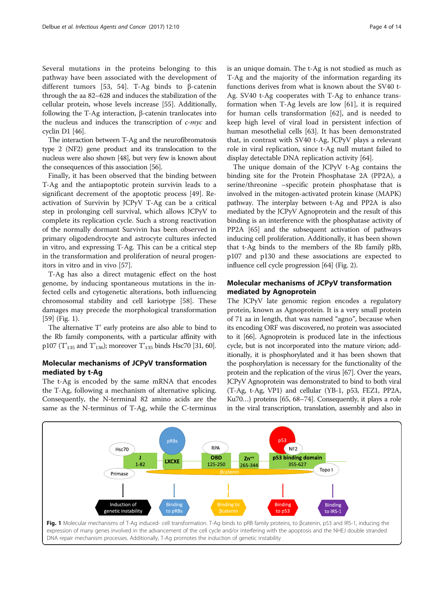Several mutations in the proteins belonging to this pathway have been associated with the development of different tumors [\[53](#page-11-0), [54](#page-11-0)]. T-Ag binds to β-catenin through the aa 82–628 and induces the stabilization of the cellular protein, whose levels increase [\[55](#page-11-0)]. Additionally, following the T-Ag interaction, β-catenin tranlocates into the nucleus and induces the transcription of  $c$ -myc and cyclin D1 [\[46\]](#page-11-0).

The interaction between T-Ag and the neurofibromatosis type 2 (NF2) gene product and its translocation to the nucleus were also shown [[48\]](#page-11-0), but very few is known about the consequences of this association [\[56\]](#page-11-0).

Finally, it has been observed that the binding between T-Ag and the antiapoptotic protein survivin leads to a significant decrement of the apoptotic process [[49](#page-11-0)]. Reactivation of Survivin by JCPyV T-Ag can be a critical step in prolonging cell survival, which allows JCPyV to complete its replication cycle. Such a strong reactivation of the normally dormant Survivin has been observed in primary oligodendrocyte and astrocyte cultures infected in vitro, and expressing T-Ag. This can be a critical step in the transformation and proliferation of neural progenitors in vitro and in vivo [\[57](#page-11-0)].

T-Ag has also a direct mutagenic effect on the host genome, by inducing spontaneous mutations in the infected cells and cytogenetic alterations, both influencing chromosomal stability and cell kariotype [[58\]](#page-11-0). These damages may precede the morphological transformation [[59\]](#page-11-0) (Fig. 1).

The alternative T' early proteins are also able to bind to the Rb family components, with a particular affinity with p107 (T'<sub>135</sub> and T'<sub>136</sub>); moreover T'<sub>135</sub> binds Hsc70 [[31](#page-11-0), [60](#page-11-0)].

## Molecular mechanisms of JCPyV transformation mediated by t-Ag

The t-Ag is encoded by the same mRNA that encodes the T-Ag, following a mechanism of alternative splicing. Consequently, the N-terminal 82 amino acids are the same as the N-terminus of T-Ag, while the C-terminus is an unique domain. The t-Ag is not studied as much as T-Ag and the majority of the information regarding its functions derives from what is known about the SV40 t-Ag. SV40 t-Ag cooperates with T-Ag to enhance transformation when T-Ag levels are low [[61\]](#page-11-0), it is required for human cells transformation [[62\]](#page-11-0), and is needed to keep high level of viral load in persistent infection of human mesothelial cells [\[63](#page-11-0)]. It has been demonstrated that, in contrast with SV40 t-Ag, JCPyV plays a relevant

display detectable DNA replication activity [\[64\]](#page-11-0). The unique domain of the JCPyV t-Ag contains the binding site for the Protein Phosphatase 2A (PP2A), a serine/threonine –specific protein phosphatase that is involved in the mitogen-activated protein kinase (MAPK) pathway. The interplay between t-Ag and PP2A is also mediated by the JCPyV Agnoprotein and the result of this binding is an interference with the phosphatase activity of PP2A [\[65\]](#page-11-0) and the subsequent activation of pathways inducing cell proliferation. Additionally, it has been shown that t-Ag binds to the members of the Rb family pRb, p107 and p130 and these associations are expected to influence cell cycle progression [[64](#page-11-0)] (Fig. [2\)](#page-4-0).

role in viral replication, since t-Ag null mutant failed to

## Molecular mechanisms of JCPyV transformation mediated by Agnoprotein

The JCPyV late genomic region encodes a regulatory protein, known as Agnoprotein. It is a very small protein of 71 aa in length, that was named "agno", because when its encoding ORF was discovered, no protein was associated to it [[66](#page-11-0)]. Agnoprotein is produced late in the infectious cycle, but is not incorporated into the mature virion; additionally, it is phosphorylated and it has been shown that the posphorylation is necessary for the functionality of the protein and the replication of the virus [\[67\]](#page-11-0). Over the years, JCPyV Agnoprotein was demonstrated to bind to both viral (T-Ag, t-Ag, VP1) and cellular (YB-1, p53, FEZ1, PP2A, Ku70…) proteins [\[65, 68](#page-11-0)–[74\]](#page-12-0). Consequently, it plays a role in the viral transcription, translation, assembly and also in

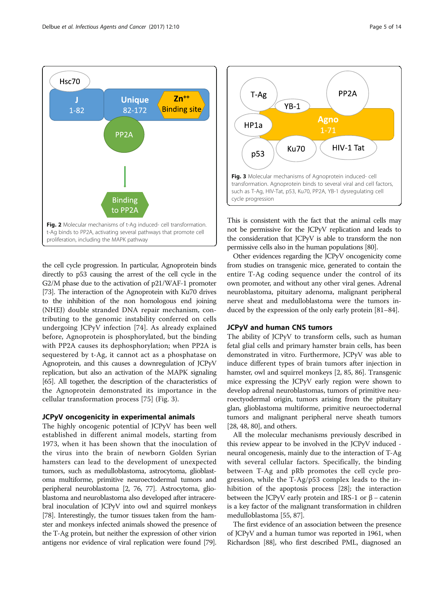<span id="page-4-0"></span>

the cell cycle progression. In particular, Agnoprotein binds directly to p53 causing the arrest of the cell cycle in the G2/M phase due to the activation of p21/WAF-1 promoter [[73](#page-12-0)]. The interaction of the Agnoprotein with Ku70 drives to the inhibition of the non homologous end joining (NHEJ) double stranded DNA repair mechanism, contributing to the genomic instability conferred on cells undergoing JCPyV infection [[74\]](#page-12-0). As already explained before, Agnoprotein is phosphorylated, but the binding with PP2A causes its dephosphorylation; when PP2A is sequestered by t-Ag, it cannot act as a phosphatase on Agnoprotein, and this causes a downregulation of JCPyV replication, but also an activation of the MAPK signaling [[65](#page-11-0)]. All together, the description of the characteristics of the Agnoprotein demonstrated its importance in the cellular transformation process [[75\]](#page-12-0) (Fig. 3).

## JCPyV oncogenicity in experimental animals

The highly oncogenic potential of JCPyV has been well established in different animal models, starting from 1973, when it has been shown that the inoculation of the virus into the brain of newborn Golden Syrian hamsters can lead to the development of unexpected tumors, such as medulloblastoma, astrocytoma, glioblastoma multiforme, primitive neuroectodermal tumors and peripheral neuroblastoma [[2](#page-10-0), [76, 77](#page-12-0)]. Astrocytoma, glioblastoma and neuroblastoma also developed after intracerebral inoculation of JCPyV into owl and squirrel monkeys [[78](#page-12-0)]. Interestingly, the tumor tissues taken from the hamster and monkeys infected animals showed the presence of the T-Ag protein, but neither the expression of other virion antigens nor evidence of viral replication were found [\[79](#page-12-0)].



This is consistent with the fact that the animal cells may not be permissive for the JCPyV replication and leads to the consideration that JCPyV is able to transform the non permissive cells also in the human populations [[80](#page-12-0)].

Other evidences regarding the JCPyV oncogenicity come from studies on transgenic mice, generated to contain the entire T-Ag coding sequence under the control of its own promoter, and without any other viral genes. Adrenal neuroblastoma, pituitary adenoma, malignant peripheral nerve sheat and medulloblastoma were the tumors induced by the expression of the only early protein [\[81](#page-12-0)–[84](#page-12-0)].

### JCPyV and human CNS tumors

The ability of JCPyV to transform cells, such as human fetal glial cells and primary hamster brain cells, has been demonstrated in vitro. Furthermore, JCPyV was able to induce different types of brain tumors after injection in hamster, owl and squirrel monkeys [[2](#page-10-0), [85](#page-12-0), [86\]](#page-12-0). Transgenic mice expressing the JCPyV early region were shown to develop adrenal neuroblastomas, tumors of primitive neuroectyodermal origin, tumors arising from the pituitary glan, glioblastoma multiforme, primitive neuroectodernal tumors and malignant peripheral nerve sheath tumors [[28](#page-11-0), [48,](#page-11-0) [80](#page-12-0)], and others.

All the molecular mechanisms previously described in this review appear to be involved in the JCPyV induced neural oncogenesis, mainly due to the interaction of T-Ag with several cellular factors. Specifically, the binding between T-Ag and pRb promotes the cell cycle progression, while the T-Ag/p53 complex leads to the inhibition of the apoptosis process [[28](#page-11-0)]; the interaction between the JCPyV early protein and IRS-1 or  $β$  – catenin is a key factor of the malignant transformation in children medulloblastoma [\[55,](#page-11-0) [87](#page-12-0)].

The first evidence of an association between the presence of JCPyV and a human tumor was reported in 1961, when Richardson [\[88\]](#page-12-0), who first described PML, diagnosed an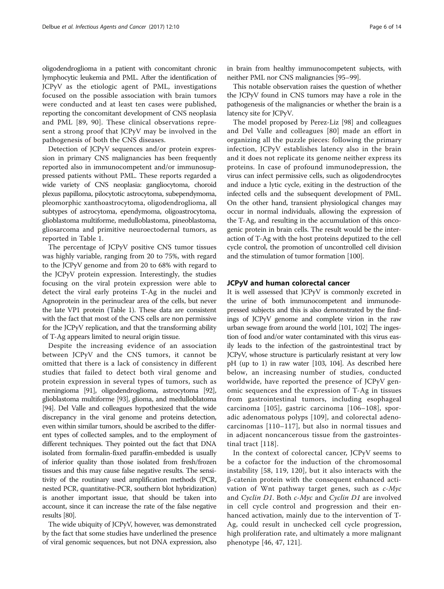oligodendroglioma in a patient with concomitant chronic lymphocytic leukemia and PML. After the identification of JCPyV as the etiologic agent of PML, investigations focused on the possible association with brain tumors were conducted and at least ten cases were published, reporting the concomitant development of CNS neoplasia and PML [\[89](#page-12-0), [90](#page-12-0)]. These clinical observations represent a strong proof that JCPyV may be involved in the pathogenesis of both the CNS diseases.

Detection of JCPyV sequences and/or protein expression in primary CNS malignancies has been frequently reported also in immunocompetent and/or immunosuppressed patients without PML. These reports regarded a wide variety of CNS neoplasia: gangliocytoma, choroid plexus papilloma, pilocytotic astrocytoma, subependymoma, pleomorphic xanthoastrocytoma, oligodendroglioma, all subtypes of astrocytoma, ependymoma, oligoastrocytoma, glioblastoma multiforme, medulloblastoma, pineoblastoma, gliosarcoma and primitive neuroectodernal tumors, as reported in Table [1.](#page-6-0)

The percentage of JCPyV positive CNS tumor tissues was highly variable, ranging from 20 to 75%, with regard to the JCPyV genome and from 20 to 68% with regard to the JCPyV protein expression. Interestingly, the studies focusing on the viral protein expression were able to detect the viral early proteins T-Ag in the nuclei and Agnoprotein in the perinuclear area of the cells, but never the late VP1 protein (Table [1](#page-6-0)). These data are consistent with the fact that most of the CNS cells are non permissive for the JCPyV replication, and that the transforming ability of T-Ag appears limited to neural origin tissue.

Despite the increasing evidence of an association between JCPyV and the CNS tumors, it cannot be omitted that there is a lack of consistency in different studies that failed to detect both viral genome and protein expression in several types of tumors, such as meningioma [\[91\]](#page-12-0), oligodendroglioma, astrocytoma [\[92](#page-12-0)], glioblastoma multiforme [[93](#page-12-0)], glioma, and medulloblatoma [[94](#page-12-0)]. Del Valle and colleagues hypothesized that the wide discrepancy in the viral genome and proteins detection, even within similar tumors, should be ascribed to the different types of collected samples, and to the employment of different techniques. They pointed out the fact that DNA isolated from formalin-fixed paraffin-embedded is usually of inferior quality than those isolated from fresh/frozen tissues and this may cause false negative results. The sensitivity of the routinary used amplification methods (PCR, nested PCR, quantitative-PCR, southern blot hybridization) is another important issue, that should be taken into account, since it can increase the rate of the false negative results [[80](#page-12-0)].

The wide ubiquity of JCPyV, however, was demonstrated by the fact that some studies have underlined the presence of viral genomic sequences, but not DNA expression, also

in brain from healthy immunocompetent subjects, with neither PML nor CNS malignancies [[95](#page-12-0)–[99\]](#page-12-0).

This notable observation raises the question of whether the JCPyV found in CNS tumors may have a role in the pathogenesis of the malignancies or whether the brain is a latency site for JCPyV.

The model proposed by Perez-Liz [[98](#page-12-0)] and colleagues and Del Valle and colleagues [[80\]](#page-12-0) made an effort in organizing all the puzzle pieces: following the primary infection, JCPyV establishes latency also in the brain and it does not replicate its genome neither express its proteins. In case of profound immunodepression, the virus can infect permissive cells, such as oligodendrocytes and induce a lytic cycle, exiting in the destruction of the infected cells and the subsequent development of PML. On the other hand, transient physiological changes may occur in normal individuals, allowing the expression of the T-Ag, and resulting in the accumulation of this oncogenic protein in brain cells. The result would be the interaction of T-Ag with the host proteins deputized to the cell cycle control, the promotion of uncontrolled cell division and the stimulation of tumor formation [[100](#page-12-0)].

## JCPyV and human colorectal cancer

It is well assessed that JCPyV is commonly excreted in the urine of both immunocompetent and immunodepressed subjects and this is also demonstrated by the findings of JCPyV genome and complete virion in the raw urban sewage from around the world [\[101, 102\]](#page-12-0) The ingestion of food and/or water contaminated with this virus easily leads to the infection of the gastrointestinal tract by JCPyV, whose structure is particularly resistant at very low pH (up to 1) in raw water [[103, 104](#page-12-0)]. As described here below, an increasing number of studies, conducted worldwide, have reported the presence of JCPyV genomic sequences and the expression of T-Ag in tissues from gastrointestinal tumors, including esophageal carcinoma [\[105\]](#page-12-0), gastric carcinoma [[106](#page-12-0)–[108\]](#page-12-0), sporadic adenomatous polyps [\[109\]](#page-12-0), and colorectal adenocarcinomas [[110](#page-12-0)–[117\]](#page-12-0), but also in normal tissues and in adjacent noncancerous tissue from the gastrointestinal tract [[118](#page-12-0)].

In the context of colorectal cancer, JCPyV seems to be a cofactor for the induction of the chromosomal instability [\[58,](#page-11-0) [119, 120\]](#page-13-0), but it also interacts with the β-catenin protein with the consequent enhanced activation of Wnt pathway target genes, such as  $c$ -Myc and Cyclin D1. Both c-Myc and Cyclin D1 are involved in cell cycle control and progression and their enhanced activation, mainly due to the intervention of T-Ag, could result in unchecked cell cycle progression, high proliferation rate, and ultimately a more malignant phenotype [\[46](#page-11-0), [47,](#page-11-0) [121\]](#page-13-0).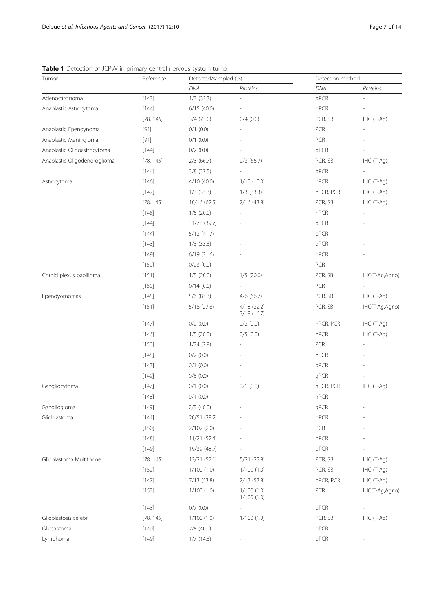| Tumor                        | Reference | Detected/sampled (%) |                           | Detection method |                |
|------------------------------|-----------|----------------------|---------------------------|------------------|----------------|
|                              |           | DNA                  | Proteins                  | DNA              | Proteins       |
| Adenocarcinoma               | $[143]$   | $1/3$ (33.3)         |                           | qPCR             |                |
| Anaplastic Astrocytoma       | [144]     | 6/15(40.0)           |                           | qPCR             |                |
|                              | [78, 145] | 3/4(75.0)            | 0/4(0.0)                  | PCR, SB          | IHC (T-Ag)     |
| Anaplastic Ependynoma        | $[91]$    | $0/1$ $(0.0)$        |                           | PCR              |                |
| Anaplastic Meningioma        | $[91]$    | $0/1$ $(0.0)$        |                           | PCR              |                |
| Anaplastic Oligoastrocytoma  | [144]     | $0/2$ $(0.0)$        |                           | qPCR             |                |
| Anaplastic Oligodendroglioma | [78, 145] | $2/3$ (66.7)         | $2/3$ (66.7)              | PCR, SB          | IHC (T-Ag)     |
|                              | [144]     | $3/8$ (37.5)         |                           | qPCR             |                |
| Astrocytoma                  | $[146]$   | 4/10(40.0)           | 1/10(10.0)                | nPCR             | IHC (T-Ag)     |
|                              | [147]     | $1/3$ (33.3)         | $1/3$ (33.3)              | nPCR, PCR        | IHC (T-Ag)     |
|                              | [78, 145] | 10/16 (62.5)         | 7/16 (43.8)               | PCR, SB          | IHC (T-Ag)     |
|                              | $[148]$   | 1/5(20.0)            |                           | nPCR             |                |
|                              | [144]     | 31/78 (39.7)         |                           | qPCR             |                |
|                              | [144]     | 5/12(41.7)           |                           | qPCR             |                |
|                              | $[143]$   | $1/3$ (33.3)         |                           | qPCR             |                |
|                              | $[149]$   | 6/19(31.6)           |                           | qPCR             |                |
|                              | [150]     | 0/23(0.0)            |                           | PCR              |                |
| Chroid plexus papilloma      | [151]     | $1/5$ (20.0)         | 1/5(20.0)                 | PCR, SB          | IHC(T-Ag,Agno) |
|                              | [150]     | 0/14(0.0)            |                           | PCR              |                |
| Ependyomomas                 | [145]     | $5/6$ (83.3)         | $4/6$ (66.7)              | PCR, SB          | IHC (T-Ag)     |
|                              | [151]     | 5/18(27.8)           | 4/18 (22.2)<br>3/18(16.7) | PCR, SB          | IHC(T-Ag,Agno) |
|                              | [147]     | 0/2(0.0)             | $0/2$ $(0.0)$             | nPCR, PCR        | IHC (T-Ag)     |
|                              | $[146]$   | 1/5(20.0)            | $0/5$ (0.0)               | nPCR             | IHC (T-Ag)     |
|                              | [150]     | 1/34(2.9)            |                           | PCR              |                |
|                              | [148]     | $0/2$ $(0.0)$        |                           | nPCR             |                |
|                              | [143]     | $0/1$ $(0.0)$        |                           | qPCR             |                |
|                              | $[149]$   | 0/5(0.0)             |                           | qPCR             |                |
| Gangliocytoma                | [147]     | $0/1$ $(0.0)$        | $0/1$ $(0.0)$             | nPCR, PCR        | IHC (T-Ag)     |
|                              | $[148]$   | $0/1$ $(0.0)$        |                           | nPCR             |                |
| Gangliogioma                 | $[149]$   | 2/5(40.0)            |                           | qPCR             |                |
| Glioblastoma                 | [144]     | 20/51 (39.2)         |                           | qPCR             |                |
|                              | $[150]$   | 2/102 (2.0)          |                           | PCR              |                |
|                              | [148]     | 11/21 (52.4)         |                           | nPCR             |                |
|                              | $[149]$   | 19/39 (48.7)         |                           | qPCR             |                |
| Glioblastoma Multiforme      | [78, 145] | 12/21(57.1)          | 5/21(23.8)                | PCR, SB          | IHC (T-Ag)     |
|                              | [152]     | 1/100(1.0)           | 1/100(1.0)                | PCR, SB          | IHC (T-Ag)     |
|                              | [147]     | 7/13 (53.8)          | 7/13 (53.8)               | nPCR, PCR        | IHC (T-Ag)     |
|                              | [153]     | 1/100(1.0)           | 1/100(1.0)<br>1/100(1.0)  | PCR              | IHC(T-Ag,Agno) |
|                              | [143]     | $0/7$ $(0.0)$        |                           | qPCR             |                |
| Glioblastosis celebri        | [78, 145] | 1/100(1.0)           | 1/100(1.0)                | PCR, SB          | IHC (T-Ag)     |
| Gliosarcoma                  | $[149]$   | 2/5(40.0)            |                           | qPCR             |                |
| Lymphoma                     | [149]     | 1/7(14.3)            |                           | qPCR             |                |

<span id="page-6-0"></span>Table 1 Detection of JCPyV in primary central nervous system tumor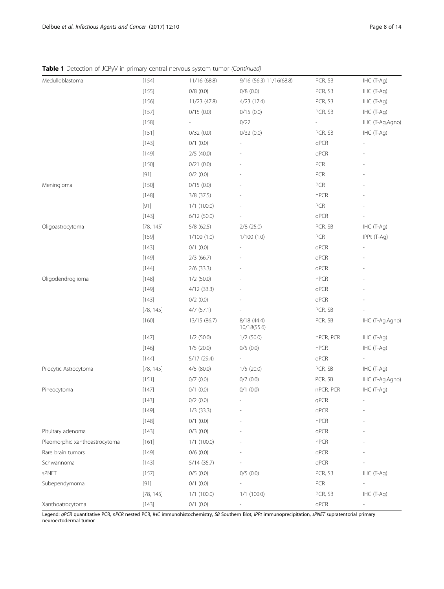Table 1 Detection of JCPyV in primary central nervous system tumor (Continued)

| Medulloblastoma               | [154]     | 11/16 (68.8)  | 9/16 (56.3) 11/16(68.8)    | PCR, SB                  | IHC (T-Ag)      |
|-------------------------------|-----------|---------------|----------------------------|--------------------------|-----------------|
|                               | [155]     | $0/8$ $(0.0)$ | 0/8(0.0)                   | PCR, SB                  | IHC (T-Ag)      |
|                               | [156]     | 11/23 (47.8)  | $4/23$ (17.4)              | PCR, SB                  | IHC (T-Ag)      |
|                               | [157]     | 0/15(0.0)     | 0/15(0.0)                  | PCR, SB                  | IHC (T-Ag)      |
|                               | [158]     |               | 0/22                       | $\overline{\phantom{a}}$ | IHC (T-Ag,Agno) |
|                               | [151]     | 0/32(0.0)     | 0/32(0.0)                  | PCR, SB                  | IHC (T-Ag)      |
|                               | [143]     | $0/1$ $(0.0)$ |                            | qPCR                     |                 |
|                               | [149]     | 2/5(40.0)     |                            | qPCR                     |                 |
|                               | [150]     | 0/21(0.0)     |                            | PCR                      |                 |
|                               | $[91]$    | $0/2$ $(0.0)$ |                            | PCR                      |                 |
| Meningioma                    | [150]     | 0/15(0.0)     |                            | PCR                      |                 |
|                               | [148]     | $3/8$ (37.5)  |                            | nPCR                     |                 |
|                               | $[91]$    | $1/1$ (100.0) |                            | PCR                      |                 |
|                               | $[143]$   | 6/12(50.0)    |                            | qPCR                     |                 |
| Oligoastrocytoma              | [78, 145] | 5/8(62.5)     | $2/8$ (25.0)               | PCR, SB                  | IHC (T-Ag)      |
|                               | [159]     | 1/100(1.0)    | 1/100(1.0)                 | PCR                      | IPPt (T-Ag)     |
|                               | [143]     | $0/1$ $(0.0)$ |                            | qPCR                     | $\overline{a}$  |
|                               | [149]     | $2/3$ (66.7)  |                            | qPCR                     |                 |
|                               | [144]     | $2/6$ (33.3)  |                            | qPCR                     |                 |
| Oligodendroglioma             | [148]     | $1/2$ (50.0)  |                            | nPCR                     |                 |
|                               | [149]     | $4/12$ (33.3) |                            | qPCR                     |                 |
|                               | [143]     | $0/2$ $(0.0)$ |                            | qPCR                     |                 |
|                               | [78, 145] | $4/7$ (57.1)  |                            | PCR, SB                  |                 |
|                               | [160]     | 13/15 (86.7)  | 8/18 (44.4)<br>10/18(55.6) | PCR, SB                  | IHC (T-Ag,Agno) |
|                               | [147]     | $1/2$ (50.0)  | $1/2$ (50.0)               | nPCR, PCR                | IHC (T-Ag)      |
|                               | [146]     | 1/5(20.0)     | $0/5$ $(0.0)$              | nPCR                     | IHC (T-Ag)      |
|                               | [144]     | 5/17(29.4)    | $\overline{\phantom{a}}$   | qPCR                     |                 |
| Pilocytic Astrocytoma         | [78, 145] | $4/5$ (80.0)  | 1/5(20.0)                  | PCR, SB                  | IHC (T-Ag)      |
|                               | [151]     | $0/7$ $(0.0)$ | $0/7$ $(0.0)$              | PCR, SB                  | IHC (T-Ag,Agno) |
| Pineocytoma                   | [147]     | $0/1$ $(0.0)$ | $0/1$ $(0.0)$              | nPCR, PCR                | IHC (T-Ag)      |
|                               | [143]     | $0/2$ $(0.0)$ |                            | qPCR                     |                 |
|                               | $[149]$ . | $1/3$ (33.3)  |                            | qPCR                     |                 |
|                               | [148]     | $0/1$ $(0.0)$ |                            | nPCR                     |                 |
| Pituitary adenoma             | [143]     | $0/3$ $(0.0)$ |                            | qPCR                     |                 |
| Pleomorphic xanthoastrocytoma | [161]     | 1/1(100.0)    |                            | nPCR                     |                 |
| Rare brain tumors             | $[149]$   | $0/6$ $(0.0)$ |                            | qPCR                     |                 |
| Schwannoma                    | $[143]$   | 5/14(35.7)    |                            | qPCR                     |                 |
| sPNET                         | [157]     | $0/5$ (0.0)   | 0/5(0.0)                   | PCR, SB                  | IHC (T-Ag)      |
| Subependymoma                 | $[91]$    | $0/1$ $(0.0)$ |                            | PCR                      |                 |
|                               | [78, 145] | 1/1(100.0)    | $1/1$ (100.0)              | PCR, SB                  | IHC (T-Ag)      |
| Xanthoatrocytoma              | [143]     | $0/1$ $(0.0)$ |                            | qPCR                     |                 |

Legend: qPCR quantitative PCR, nPCR nested PCR, IHC immunohistochemistry, SB Southern Blot, IPPt immunoprecipitation, sPNET supratentorial primary neuroectodermal tumor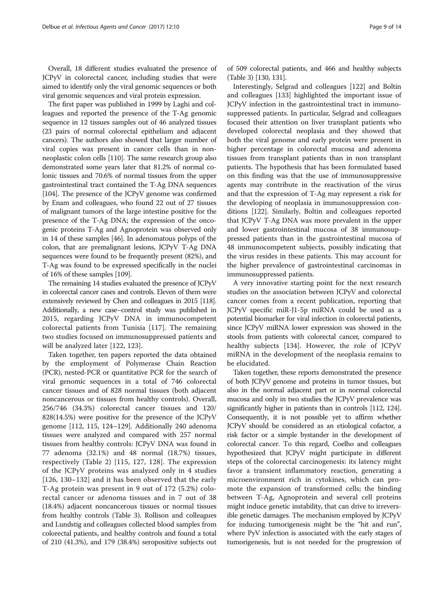Overall, 18 different studies evaluated the presence of JCPyV in colorectal cancer, including studies that were aimed to identify only the viral genomic sequences or both viral genomic sequences and viral protein expression.

The first paper was published in 1999 by Laghi and colleagues and reported the presence of the T-Ag genomic sequence in 12 tissues samples out of 46 analyzed tissues (23 pairs of normal colorectal epithelium and adjacent cancers). The authors also showed that larger number of viral copies was present in cancer cells than in nonneoplastic colon cells [[110](#page-12-0)]. The same research group also demonstrated some years later that 81.2% of normal colonic tissues and 70.6% of normal tissues from the upper gastrointestinal tract contained the T-Ag DNA sequences [[104](#page-12-0)]. The presence of the JCPyV genome was confirmed by Enam and colleagues, who found 22 out of 27 tissues of malignant tumors of the large intestine positive for the presence of the T-Ag DNA; the expression of the oncogenic proteins T-Ag and Agnoprotein was observed only in 14 of these samples [\[46](#page-11-0)]. In adenomatous polyps of the colon, that are premalignant lesions, JCPyV T-Ag DNA sequences were found to be frequently present (82%), and T-Ag was found to be expressed specifically in the nuclei of 16% of these samples [\[109\]](#page-12-0).

The remaining 14 studies evaluated the presence of JCPyV in colorectal cancer cases and controls. Eleven of them were extensively reviewed by Chen and colleagues in 2015 [[118](#page-12-0)]. Additionally, a new case–control study was published in 2015, regarding JCPyV DNA in immunocompetent colorectal patients from Tunisia [[117\]](#page-12-0). The remaining two studies focused on immunosuppressed patients and will be analyzed later [[122, 123\]](#page-13-0).

Taken together, ten papers reported the data obtained by the employment of Polymerase Chain Reaction (PCR), nested-PCR or quantitative PCR for the search of viral genomic sequences in a total of 746 colorectal cancer tissues and of 828 normal tissues (both adjacent noncancerous or tissues from healthy controls). Overall, 256/746 (34.3%) colorectal cancer tissues and 120/ 828(14.5%) were positive for the presence of the JCPyV genome [[112](#page-12-0), [115](#page-12-0), [124](#page-13-0)–[129](#page-13-0)]. Additionally 240 adenoma tissues were analyzed and compared with 257 normal tissues from healthy controls: JCPyV DNA was found in 77 adenoma (32.1%) and 48 normal (18.7%) tissues, respectively (Table [2](#page-9-0)) [[115](#page-12-0), [127, 128](#page-13-0)]. The expression of the JCPyV proteins was analyzed only in 4 studies [[126](#page-13-0), [130](#page-13-0)–[132\]](#page-13-0) and it has been observed that the early T-Ag protein was present in 9 out of 172 (5.2%) colorectal cancer or adenoma tissues and in 7 out of 38 (18.4%) adjacent noncancerous tissues or normal tissues from healthy controls (Table [3](#page-9-0)). Rollison and colleagues and Lundstig and colleagues collected blood samples from colorectal patients, and healthy controls and found a total of 210 (41.3%), and 179 (38.4%) seropositive subjects out of 509 colorectal patients, and 466 and healthy subjects (Table [3](#page-9-0)) [[130](#page-13-0), [131](#page-13-0)].

Interestingly, Selgrad and colleagues [[122](#page-13-0)] and Boltin and colleagues [[133](#page-13-0)] highlighted the important issue of JCPyV infection in the gastrointestinal tract in immunosuppressed patients. In particular, Selgrad and colleagues focused their attention on liver transplant patients who developed colorectal neoplasia and they showed that both the viral genome and early protein were present in higher percentage in colorectal mucosa and adenoma tissues from transplant patients than in non transplant patients. The hypothesis that has been formulated based on this finding was that the use of immunosuppressive agents may contribute in the reactivation of the virus and that the expression of T-Ag may represent a risk for the developing of neoplasia in immunosuppression conditions [\[122](#page-13-0)]. Similarly, Boltin and colleagues reported that JCPyV T-Ag DNA was more prevalent in the upper and lower gastrointestinal mucosa of 38 immunosuppressed patients than in the gastrointestinal mucosa of 48 immunocompetent subjects, possibly indicating that the virus resides in these patients. This may account for the higher prevalence of gastrointestinal carcinomas in immunosuppressed patients.

A very innovative starting point for the next research studies on the association between JCPyV and colorectal cancer comes from a recent publication, reporting that JCPyV specific miR-J1-5p miRNA could be used as a potential biomarker for viral infection in colorectal patients, since JCPyV miRNA lower expression was showed in the stools from patients with colorectal cancer, compared to healthy subjects [[134\]](#page-13-0). However, the role of JCPyV miRNA in the development of the neoplasia remains to be elucidated.

Taken together, these reports demonstrated the presence of both JCPyV genome and proteins in tumor tissues, but also in the normal adjacent part or in normal colorectal mucosa and only in two studies the JCPyV prevalence was significantly higher in patients than in controls [\[112,](#page-12-0) [124](#page-13-0)]. Consequently, it is not possible yet to affirm whether JCPyV should be considered as an etiological cofactor, a risk factor or a simple bystander in the development of colorectal cancer. To this regard, Coelho and colleagues hypothesized that JCPyV might participate in different steps of the colorectal carcinogenesis: its latency might favor a transient inflammatory reaction, generating a microenvironment rich in cytokines, which can promote the expansion of transformed cells; the binding between T-Ag, Agnoprotein and several cell proteins might induce genetic instability, that can drive to irreversible genetic damages. The mechanism employed by JCPyV for inducing tumorigenesis might be the "hit and run", where PyV infection is associated with the early stages of tumorigenesis, but is not needed for the progression of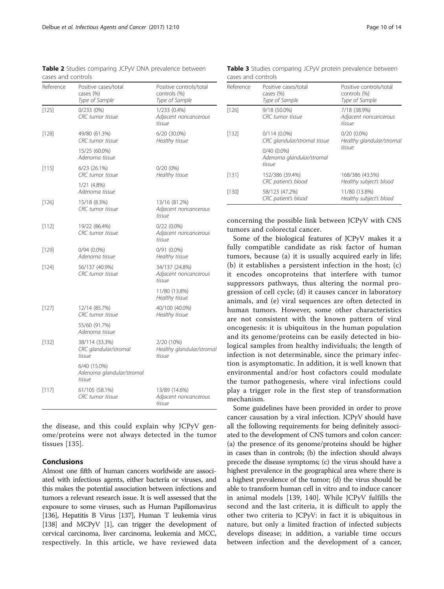| Reference | Positive cases/total<br>cases (%)<br>Type of Sample | Positive controls/total<br>controls (%)<br>Type of Sample |
|-----------|-----------------------------------------------------|-----------------------------------------------------------|
| [125]     | 0/233(0%)<br>CRC tumor tissue                       | 1/233 (0.4%)<br>Adjacent noncancerous<br>tissue           |
| $[128]$   | 49/80 (61.3%)<br>CRC tumor tissue                   | 6/20 (30.0%)<br>Healthy tissue                            |
|           | 15/25 (60.0%)<br>Adenoma tissue                     |                                                           |
| [115]     | 6/23 (26.1%)<br>CRC tumor tissue                    | $0/20(0\%)$<br>Healthy tissue                             |
|           | 1/21 (4.8%)<br>Adenoma tissue                       |                                                           |
| $[126]$   | 15/18 (8.3%)<br>CRC tumor tissue                    | 13/16 (81.2%)<br>Adjacent noncancerous<br>tissue          |
| [112]     | 19/22 (86.4%)<br>CRC tumor tissue                   | 0/22 (0.0%)<br>Adjacent noncancerous<br>tissue            |
| [129]     | $0/94(0.0\%)$<br>Adenoma tissue                     | 0/91 (0.0%)<br>Healthy tissue                             |
| $[124]$   | 56/137 (40.9%)<br>CRC tumor tissue                  | 34/137 (24.8%)<br>Adjacent noncancerous<br>tissue         |
|           |                                                     | 11/80 (13.8%)<br>Healthy tissue                           |
| [127]     | 12/14 (85.7%)<br><b>CRC</b> tumor tissue            | 40/100 (40.0%)<br>Healthy tissue                          |
|           | 55/60 (91.7%)<br>Adenoma tissue                     |                                                           |
| [132]     | 38/114 (33.3%)<br>CRC glandular/stromal<br>tissue   | 2/20 (10%)<br>Healthy glandular/stromal<br>tissue         |
|           | 6/40 (15.0%)<br>Adenoma glandular/stromal<br>tissue |                                                           |
| [117]     | 61/105 (58.1%)<br><b>CRC</b> tumor tissue           | 13/89 (14.6%)<br>Adjacent noncancerous<br>tissue          |

<span id="page-9-0"></span>Table 2 Studies comparing JCPyV DNA prevalence between cases and controls

the disease, and this could explain why JCPyV genome/proteins were not always detected in the tumor tissues [[135](#page-13-0)].

## Conclusions

Almost one fifth of human cancers worldwide are associated with infectious agents, either bacteria or viruses, and this makes the potential association between infections and tumors a relevant research issue. It is well assessed that the exposure to some viruses, such as Human Papillomavirus [[136\]](#page-13-0), Hepatitis B Virus [\[137](#page-13-0)], Human T leukemia virus [[138\]](#page-13-0) and MCPyV [[1](#page-10-0)], can trigger the development of cervical carcinoma, liver carcinoma, leukemia and MCC, respectively. In this article, we have reviewed data

| Reference | Positive cases/total<br>cases $(\%)$<br>Type of Sample  | Positive controls/total<br>controls (%)<br>Type of Sample |  |  |
|-----------|---------------------------------------------------------|-----------------------------------------------------------|--|--|
| [126]     | 9/18 (50.0%)<br>CRC tumor tissue                        | 7/18 (38.9%)<br>Adjacent noncancerous<br>tissue           |  |  |
| [132]     | $0/114(0.0\%)$<br>CRC glandular/stromal tissue          | $0/20(0.0\%)$<br>Healthy glandular/stromal                |  |  |
|           | $0/40$ $(0.0\%)$<br>Adenoma glandular/stromal<br>tissue | tissue                                                    |  |  |
| [131]     | 152/386 (39.4%)<br>CRC patient's blood                  | 168/386 (43.5%)<br>Healthy subject's blood                |  |  |
| [130]     | 58/123 (47.2%)<br>CRC patient's blood                   | 11/80 (13.8%)<br>Healthy subject's blood                  |  |  |

Table 3 Studies comparing JCPyV protein prevalence between cases and controls

concerning the possible link between JCPyV with CNS tumors and colorectal cancer.

Some of the biological features of JCPyV makes it a fully compatible candidate as risk factor of human tumors, because (a) it is usually acquired early in life; (b) it establishes a persistent infection in the host; (c) it encodes oncoproteins that interfere with tumor suppressors pathways, thus altering the normal progression of cell cycle; (d) it causes cancer in laboratory animals, and (e) viral sequences are often detected in human tumors. However, some other characteristics are not consistent with the known pattern of viral oncogenesis: it is ubiquitous in the human population and its genome/proteins can be easily detected in biological samples from healthy individuals; the length of infection is not determinable, since the primary infection is asymptomatic. In addition, it is well known that environmental and/or host cofactors could modulate the tumor pathogenesis, where viral infections could play a trigger role in the first step of transformation mechanism.

Some guidelines have been provided in order to prove cancer causation by a viral infection. JCPyV should have all the following requirements for being definitely associated to the development of CNS tumors and colon cancer: (a) the presence of its genome/proteins should be higher in cases than in controls; (b) the infection should always precede the disease symptoms; (c) the virus should have a highest prevalence in the geographical area where there is a highest prevalence of the tumor; (d) the virus should be able to transform human cell in vitro and to induce cancer in animal models [[139, 140](#page-13-0)]. While JCPyV fulfills the second and the last criteria, it is difficult to apply the other two criteria to JCPyV: in fact it is ubiquitous in nature, but only a limited fraction of infected subjects develops disease; in addition, a variable time occurs between infection and the development of a cancer,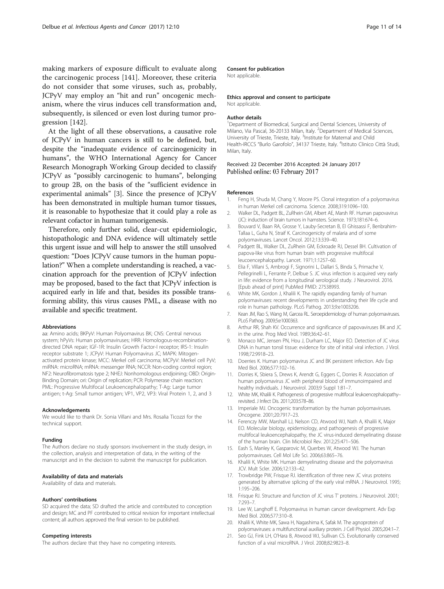<span id="page-10-0"></span>making markers of exposure difficult to evaluate along the carcinogenic process [[141\]](#page-13-0). Moreover, these criteria do not consider that some viruses, such as, probably, JCPyV may employ an "hit and run" oncogenic mechanism, where the virus induces cell transformation and, subsequently, is silenced or even lost during tumor progression [[142](#page-13-0)].

At the light of all these observations, a causative role of JCPyV in human cancers is still to be defined, but, despite the "inadequate evidence of carcinogenicity in humans", the WHO International Agency for Cancer Research Monograph Working Group decided to classify JCPyV as "possibly carcinogenic to humans", belonging to group 2B, on the basis of the "sufficient evidence in experimental animals" [3]. Since the presence of JCPyV has been demonstrated in multiple human tumor tissues, it is reasonable to hypothesize that it could play a role as relevant cofactor in human tumorigenesis.

Therefore, only further solid, clear-cut epidemiologic, histopathologic and DNA evidence will ultimately settle this urgent issue and will help to answer the still unsolved question: "Does JCPyV cause tumors in the human population?" When a complete understanding is reached, a vaccination approach for the prevention of JCPyV infection may be proposed, based to the fact that JCPyV infection is acquired early in life and that, besides its possible transforming ability, this virus causes PML, a disease with no available and specific treatment.

#### Abbreviations

aa: Amino acids; BKPyV: Human Polyomavirus BK; CNS: Central nervous system; hPyVs: Human polyomaviruses; HRR: Homologous-recombinationdirected DNA repair; IGF-1R: Insulin Growth Factor-I receptor; IRS-1: Insulin receptor substrate 1; JCPyV: Human Polyomavirus JC; MAPK: Mitogenactivated protein kinase; MCC: Merkel cell carcinoma; MCPyV: Merkel cell PyV; miRNA: microRNA; mRNA: messenger RNA; NCCR: Non-coding control region; NF2: Neurofibromatosis type 2; NHEJ: Nonhomologous endjoining; OBD: Origin-Binding Domain; ori: Origin of replication; PCR: Polymerase chain reaction; PML: Progressive Multifocal Leukoencephalopathy; T-Ag: Large tumor antigen; t-Ag: Small tumor antigen; VP1, VP2, VP3: Viral Protein 1, 2, and 3

#### Acknowledgements

We would like to thank Dr. Sonia Villani and Mrs. Rosalia Ticozzi for the technical support.

#### Funding

The Authors declare no study sponsors involvement in the study design, in the collection, analysis and interpretation of data, in the writing of the manuscript and in the decision to submit the manuscript for publication.

#### Availability of data and materials

Availability of data and materials.

#### Authors' contributions

SD acquired the data; SD drafted the article and contributed to conception and design; MC and PF contributed to critical revision for important intellectual content; all authors approved the final version to be published.

#### Competing interests

The authors declare that they have no competing interests.

#### Consent for publication

Not applicable.

#### Ethics approval and consent to participate Not applicable.

#### Author details

<sup>1</sup>Department of Biomedical, Surgical and Dental Sciences, University of Milano, Via Pascal, 36-20133 Milan, Italy. <sup>2</sup>Department of Medical Sciences University of Trieste, Trieste, Italy. <sup>3</sup>Institute for Maternal and Child Health-IRCCS "Burlo Garofolo", 34137 Trieste, Italy. <sup>4</sup>Istituto Clinico Città Studi, Milan, Italy.

#### Received: 22 December 2016 Accepted: 24 January 2017 Published online: 03 February 2017

#### References

- 1. Feng H, Shuda M, Chang Y, Moore PS. Clonal integration of a polyomavirus in human Merkel cell carcinoma. Science. 2008;319:1096–100.
- 2. Walker DL, Padgett BL, ZuRhein GM, Albert AE, Marsh RF. Human papovavirus (JC): induction of brain tumors in hamsters. Science. 1973;181:674–6.
- 3. Bouvard V, Baan RA, Grosse Y, Lauby-Secretan B, El Ghissassi F, Benbrahim-Tallaa L, Guha N, Straif K. Carcinogenicity of malaria and of some polyomaviruses. Lancet Oncol. 2012;13:339–40.
- 4. Padgett BL, Walker DL, ZuRhein GM, Eckroade RJ, Dessel BH. Cultivation of papova-like virus from human brain with progressive multifocal leucoencephalopathy. Lancet. 1971;1:1257–60.
- 5. Elia F, Villani S, Ambrogi F, Signorini L, Dallari S, Binda S, Primache V, Pellegrinelli L, Ferrante P, Delbue S. JC virus infection is acquired very early in life: evidence from a longitudinal serological study. J Neurovirol. 2016. [Epub ahead of print] PubMed PMID: 27538993.
- 6. White MK, Gordon J, Khalili K. The rapidly expanding family of human polyomaviruses: recent developments in understanding their life cycle and role in human pathology. PLoS Pathog. 2013;9:e1003206.
- 7. Kean JM, Rao S, Wang M, Garcea RL. Seroepidemiology of human polyomaviruses. PLoS Pathog. 2009;5:e1000363.
- 8. Arthur RR, Shah KV. Occurrence and significance of papovaviruses BK and JC in the urine. Prog Med Virol. 1989;36:42–61.
- 9. Monaco MC, Jensen PN, Hou J, Durham LC, Major EO. Detection of JC virus DNA in human tonsil tissue: evidence for site of initial viral infection. J Virol. 1998;72:9918–23.
- 10. Doerries K. Human polyomavirus JC and BK persistent infection. Adv Exp Med Biol. 2006;577:102–16.
- 11. Dorries K, Sbiera S, Drews K, Arendt G, Eggers C, Dorries R. Association of human polyomavirus JC with peripheral blood of immunoimpaired and healthy individuals. J Neurovirol. 2003;9 Suppl 1:81–7.
- 12. White MK, Khalili K. Pathogenesis of progressive multifocal leukoencephalopathy– revisited. J Infect Dis. 2011;203:578–86.
- 13. Imperiale MJ. Oncogenic transformation by the human polyomaviruses. Oncogene. 2001;20:7917–23.
- 14. Ferenczy MW, Marshall LJ, Nelson CD, Atwood WJ, Nath A, Khalili K, Major EO. Molecular biology, epidemiology, and pathogenesis of progressive multifocal leukoencephalopathy, the JC virus-induced demyelinating disease of the human brain. Clin Microbiol Rev. 2012;25:471–506.
- 15. Eash S, Manley K, Gasparovic M, Querbes W, Atwood WJ. The human polyomaviruses. Cell Mol Life Sci. 2006;63:865–76.
- 16. Khalili K, White MK. Human demyelinating disease and the polyomavirus JCV. Mult Scler. 2006;12:133–42.
- 17. Trowbridge PW, Frisque RJ. Identification of three new JC virus proteins generated by alternative splicing of the early viral mRNA. J Neurovirol. 1995; 1:195–206.
- 18. Frisque RJ. Structure and function of JC virus T' proteins. J Neurovirol. 2001; 7:293–7.
- 19. Lee W, Langhoff E. Polyomavirus in human cancer development. Adv Exp Med Biol. 2006;577:310–8.
- 20. Khalili K, White MK, Sawa H, Nagashima K, Safak M. The agnoprotein of polyomaviruses: a multifunctional auxiliary protein. J Cell Physiol. 2005;204:1–7.
- 21. Seo GJ, Fink LH, O'Hara B, Atwood WJ, Sullivan CS. Evolutionarily conserved function of a viral microRNA. J Virol. 2008;82:9823–8.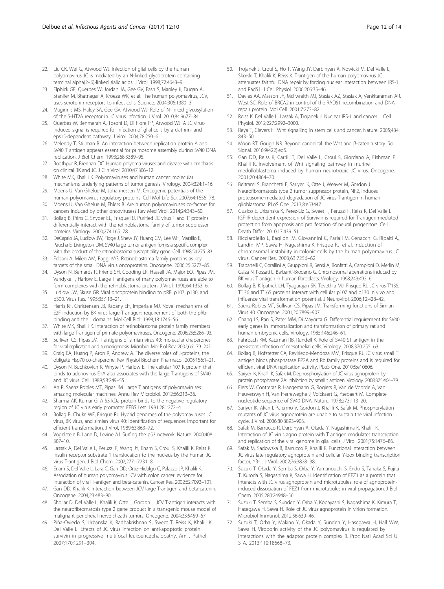- <span id="page-11-0"></span>22. Liu CK, Wei G, Atwood WJ. Infection of glial cells by the human polyomavirus JC is mediated by an N-linked glycoprotein containing terminal alpha(2–6)-linked sialic acids. J Virol. 1998;72:4643–9.
- 23. Elphick GF, Querbes W, Jordan JA, Gee GV, Eash S, Manley K, Dugan A Stanifer M, Bhatnagar A, Kroeze WK, et al. The human polyomavirus, JCV, uses serotonin receptors to infect cells. Science. 2004;306:1380–3.
- 24. Maginnis MS, Haley SA, Gee GV, Atwood WJ. Role of N-linked glycosylation of the 5-HT2A receptor in JC virus infection. J Virol. 2010;84:9677–84.
- 25. Querbes W, Benmerah A, Tosoni D, Di Fiore PP, Atwood WJ. A JC virusinduced signal is required for infection of glial cells by a clathrin- and eps15-dependent pathway. J Virol. 2004;78:250–6.
- 26. Melendy T, Stillman B. An interaction between replication protein A and SV40 T antigen appears essential for primosome assembly during SV40 DNA replication. J Biol Chem. 1993;268:3389–95.
- 27. Boothpur R, Brennan DC. Human polyoma viruses and disease with emphasis on clinical BK and JC. J Clin Virol. 2010;47:306–12.
- 28. White MK, Khalili K. Polyomaviruses and human cancer: molecular mechanisms underlying patterns of tumorigenesis. Virology. 2004;324:1–16.
- 29. Moens U, Van Ghelue M, Johannessen M. Oncogenic potentials of the human polyomavirus regulatory proteins. Cell Mol Life Sci. 2007;64:1656–78.
- 30. Moens U, Van Ghelue M, Ehlers B. Are human polyomaviruses co-factors for cancers induced by other oncoviruses? Rev Med Virol. 2014;24:343–60.
- 31. Bollag B, Prins C, Snyder EL, Frisque RJ. Purified JC virus T and T' proteins differentially interact with the retinoblastoma family of tumor suppressor proteins. Virology. 2000;274:165–78.
- 32. DeCaprio JA, Ludlow JW, Figge J, Shew JY, Huang CM, Lee WH, Marsilio E, Paucha E, Livingston DM. SV40 large tumor antigen forms a specific complex with the product of the retinoblastoma susceptibility gene. Cell. 1988;54:275–83.
- 33. Felsani A, Mileo AM, Paggi MG. Retinoblastoma family proteins as key targets of the small DNA virus oncoproteins. Oncogene. 2006;25:5277–85.
- 34. Dyson N, Bernards R, Friend SH, Gooding LR, Hassell JA, Major EO, Pipas JM, Vandyke T, Harlow E. Large T antigens of many polyomaviruses are able to form complexes with the retinoblastoma protein. J Virol. 1990;64:1353–6.
- 35. Ludlow JW, Skuse GR. Viral oncoprotein binding to pRB, p107, p130, and p300. Virus Res. 1995;35:113–21.
- 36. Harris KF, Christensen JB, Radany EH, Imperiale MJ. Novel mechanisms of E2F induction by BK virus large-T antigen: requirement of both the pRbbinding and the J domains. Mol Cell Biol. 1998;18:1746–56.
- 37. White MK, Khalili K. Interaction of retinoblastoma protein family members with large T-antigen of primate polyomaviruses. Oncogene. 2006;25:5286–93.
- 38. Sullivan CS, Pipas JM. T antigens of simian virus 40: molecular chaperones for viral replication and tumorigenesis. Microbiol Mol Biol Rev. 2002;66:179–202.
- 39. Craig EA, Huang P, Aron R, Andrew A. The diverse roles of J-proteins, the obligate Hsp70 co-chaperone. Rev Physiol Biochem Pharmacol. 2006;156:1–21.
- 40. Dyson N, Buchkovich K, Whyte P, Harlow E. The cellular 107 K protein that binds to adenovirus E1A also associates with the large T antigens of SV40 and JC virus. Cell. 1989;58:249–55.
- 41. An P, Saenz Robles MT, Pipas JM. Large T antigens of polyomaviruses: amazing molecular machines. Annu Rev Microbiol. 2012;66:213–36.
- 42. Sharma AK, Kumar G. A 53 kDa protein binds to the negative regulatory region of JC virus early promoter. FEBS Lett. 1991;281:272–4.
- 43. Bollag B, Chuke WF, Frisque RJ. Hybrid genomes of the polyomaviruses JC virus, BK virus, and simian virus 40: identification of sequences important for efficient transformation. J Virol. 1989;63:863–72.
- 44. Vogelstein B, Lane D, Levine AJ. Surfing the p53 network. Nature. 2000;408: 307–10.
- 45. Lassak A, Del Valle L, Peruzzi F, Wang JY, Enam S, Croul S, Khalili K, Reiss K. Insulin receptor substrate 1 translocation to the nucleus by the human JC virus T-antigen. J Biol Chem. 2002;277:17231–8.
- 46. Enam S, Del Valle L, Lara C, Gan DD, Ortiz-Hidalgo C, Palazzo JP, Khalili K. Association of human polyomavirus JCV with colon cancer: evidence for interaction of viral T-antigen and beta-catenin. Cancer Res. 2002;62:7093–101.
- 47. Gan DD, Khalili K. Interaction between JCV large T-antigen and beta-catenin. Oncogene. 2004;23:483–90.
- 48. Shollar D, Del Valle L, Khalili K, Otte J, Gordon J. JCV T-antigen interacts with the neurofibromatosis type 2 gene product in a transgenic mouse model of malignant peripheral nerve sheath tumors. Oncogene. 2004;23:5459–67.
- 49. Piña-Oviedo S, Urbanska K, Radhakrishnan S, Sweet T, Reiss K, Khalili K, Del Valle L. Effects of JC virus infection on anti-apoptotic protein survivin in progressive multifocal leukoencephalopathy. Am J Pathol. 2007;170:1291–304.
- 50. Trojanek J, Croul S, Ho T, Wang JY, Darbinyan A, Nowicki M, Del Valle L, Skorski T, Khalili K, Reiss K. T-antigen of the human polyomavirus JC attenuates faithful DNA repair by forcing nuclear interaction between IRS-1 and Rad51. J Cell Physiol. 2006;206:35–46.
- 51. Davies AA, Masson JY, McIlwraith MJ, Stasiak AZ, Stasiak A, Venkitaraman AR, West SC. Role of BRCA2 in control of the RAD51 recombination and DNA repair protein. Mol Cell. 2001;7:273–82.
- 52. Reiss K, Del Valle L, Lassak A, Trojanek J. Nuclear IRS-1 and cancer. J Cell Physiol. 2012;227:2992–3000.
- 53. Reya T, Clevers H. Wnt signalling in stem cells and cancer. Nature. 2005;434: 843–50.
- 54. Moon RT, Gough NR. Beyond canonical: the Wnt and β-catenin story. Sci Signal. 2016;9(422):eg5.
- 55. Gan DD, Reiss K, Carrill T, Del Valle L, Croul S, Giordano A, Fishman P, Khalili K. Involvement of Wnt signaling pathway in murine medulloblastoma induced by human neurotropic JC virus. Oncogene. 2001;20:4864–70.
- 56. Beltrami S, Branchetti E, Sariyer IK, Otte J, Weaver M, Gordon J. Neurofibromatosis type 2 tumor suppressor protein, NF2, induces proteasome-mediated degradation of JC virus T-antigen in human glioblastoma. PLoS One. 2013;8:e53447.
- 57. Gualco E, Urbanska K, Perez-Liz G, Sweet T, Peruzzi F, Reiss K, Del Valle L. IGF-IR-dependent expression of Survivin is required for T-antigen-mediated protection from apoptosis and proliferation of neural progenitors. Cell Death Differ. 2010;17:439–51.
- 58. Ricciardiello L, Baglioni M, Giovannini C, Pariali M, Cenacchi G, Ripalti A, Landini MP, Sawa H, Nagashima K, Frisque RJ, et al. Induction of chromosomal instability in colonic cells by the human polyomavirus JC virus. Cancer Res. 2003;63:7256–62.
- 59. Trabanelli C, Corallini A, Gruppioni R, Sensi A, Bonfatti A, Campioni D, Merlin M, Calza N, Possati L, Barbanti-Brodano G. Chromosomal aberrations induced by BK virus T antigen in human fibroblasts. Virology. 1998;243:492–6.
- 60. Bollag B, Kilpatrick LH, Tyagarajan SK, Tevethia MJ, Frisque RJ. JC virus T'135, T'136 and T'165 proteins interact with cellular p107 and p130 in vivo and influence viral transformation potential. J Neurovirol. 2006;12:428–42.
- Sáenz-Robles MT, Sullivan CS, Pipas JM. Transforming functions of Simian Virus 40. Oncogene. 2001;20:7899–907.
- 62. Chang LS, Pan S, Pater MM, Di Mayorca G. Differential requirement for SV40 early genes in immortalization and transformation of primary rat and human embryonic cells. Virology. 1985;146:246–61.
- 63. Fahrbach KM, Katzman RB, Rundell K. Role of SV40 ST antigen in the persistent infection of mesothelial cells. Virology. 2008;370:255–63.
- 64. Bollag B, Hofstetter CA, Reviriego-Mendoza MM, Frisque RJ. JC virus small T antigen binds phosphatase PP2A and Rb family proteins and is required for efficient viral DNA replication activity. PLoS One. 2010;5:e10606.
- 65. Sariyer IK, Khalili K, Safak M. Dephosphorylation of JC virus agnoprotein by protein phosphatase 2A: inhibition by small t antigen. Virology. 2008;375:464–79.
- 66. Fiers W, Contreras R, Haegemann G, Rogiers R, Van de Voorde A, Van Heuverswyn H, Van Herreweghe J, Volckaert G, Ysebaert M. Complete nucleotide sequence of SV40 DNA. Nature. 1978;273:113–20.
- 67. Sariyer IK, Akan I, Palermo V, Gordon J, Khalili K, Safak M. Phosphorylation mutants of JC virus agnoprotein are unable to sustain the viral infection cycle. J Virol. 2006;80:3893–903.
- Safak M, Barrucco R, Darbinyan A, Okada Y, Nagashima K, Khalili K. Interaction of JC virus agno protein with T antigen modulates transcription and replication of the viral genome in glial cells. J Virol. 2001;75:1476–86.
- 69. Safak M, Sadowska B, Barrucco R, Khalili K. Functional interaction between JC virus late regulatory agnoprotein and cellular Y-box binding transcription factor, YB-1. J Virol. 2002;76:3828–38.
- 70. Suzuki T, Okada Y, Semba S, Orba Y, Yamanouchi S, Endo S, Tanaka S, Fujita T, Kuroda S, Nagashima K, Sawa H. Identification of FEZ1 as a protein that interacts with JC virus agnoprotein and microtubules: role of agnoproteininduced dissociation of FEZ1 from microtubules in viral propagation. J Biol Chem. 2005;280:24948–56.
- 71. Suzuki T, Semba S, Sunden Y, Orba Y, Kobayashi S, Nagashima K, Kimura T, Hasegawa H, Sawa H. Role of JC virus agnoprotein in virion formation. Microbiol Immunol. 2012;56:639–46.
- 72. Suzuki T, Orba Y, Makino Y, Okada Y, Sunden Y, Hasegawa H, Hall WW, Sawa H. Viroporin activity of the JC polyomavirus is regulated by interactions with the adaptor protein complex 3. Proc Natl Acad Sci U S A. 2013;110:18668–73.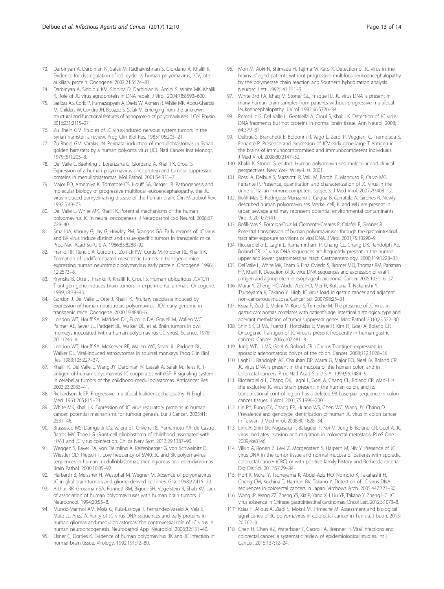- <span id="page-12-0"></span>73. Darbinyan A, Darbinian N, Safak M, Radhakrishnan S, Giordano A, Khalili K. Evidence for dysregulation of cell cycle by human polyomavirus, JCV, late auxiliary protein. Oncogene. 2002;21:5574–81.
- 74. Darbinyan A, Siddiqui KM, Slonina D, Darbinian N, Amini S, White MK, Khalili K. Role of JC virus agnoprotein in DNA repair. J Virol. 2004;78:8593–600.
- 75. Saribas AS, Coric P, Hamazaspyan A, Davis W, Axman R, White MK, Abou-Gharbia M, Childers W, Condra JH, Bouaziz S, Safak M. Emerging from the unknown: structural and functional features of agnoprotein of polyomaviruses. J Cell Physiol. 2016;231:2115–27.
- 76. Zu Rhein GM. Studies of JC virus-induced nervous system tumors in the Syrian hamster: a review. Prog Clin Biol Res. 1983;105:205–21.
- 77. Zu Rhein GM, Varakis JN. Perinatal induction of medulloblastomas in Syrian golden hamsters by a human polyoma virus (JC). Natl Cancer Inst Monogr. 1979;(51):205–8.
- 78. Del Valle L, Baehring J, Lorenzana C, Giordano A, Khalili K, Croul S. Expression of a human polyomavirus oncoprotein and tumour suppressor proteins in medulloblastomas. Mol Pathol. 2001;54:331–7.
- 79. Major EO, Amemiya K, Tornatore CS, Houff SA, Berger JR. Pathogenesis and molecular biology of progressive multifocal leukoencephalopathy, the JC virus-induced demyelinating disease of the human brain. Clin Microbiol Rev. 1992;5:49–73.
- 80. Del Valle L, White MK, Khalili K. Potential mechanisms of the human polyomavirus JC in neural oncogenesis. J Neuropathol Exp Neurol. 2008;67: 729–40.
- 81. Small JA, Khoury G, Jay G, Howley PM, Scangos GA. Early regions of JC virus and BK virus induce distinct and tissue-specific tumors in transgenic mice. Proc Natl Acad Sci U S A. 1986;83:8288–92.
- 82. Franks RR, Rencic A, Gordon J, Zoltick PW, Curtis M, Knobler RL, Khalili K. Formation of undifferentiated mesenteric tumors in transgenic mice expressing human neurotropic polymavirus early protein. Oncogene. 1996; 12:2573–8.
- 83. Krynska B, Otte J, Franks R, Khalili K, Croul S. Human ubiquitous JCV(CY) T-antigen gene induces brain tumors in experimental animals. Oncogene. 1999;18:39–46.
- 84. Gordon J, Del Valle L, Otte J, Khalili K. Pituitary neoplasia induced by expression of human neurotropic polyomavirus, JCV, early genome in transgenic mice. Oncogene. 2000;19:4840–6.
- 85. London WT, Houff SA, Madden DL, Fuccillo DA, Gravell M, Wallen WC, Palmer AE, Sever JL, Padgett BL, Walker DL, et al. Brain tumors in owl monkeys inoculated with a human polyomavirus (JC virus). Science. 1978; 201:1246–9.
- 86. London WT, Houff SA, McKeever PE, Wallen WC, Sever JL, Padgett BL, Walker DL. Viral-induced astrocytomas in squirrel monkeys. Prog Clin Biol Res. 1983;105:227–37.
- 87. Khalili K, Del Valle L, Wang JY, Darbinian N, Lassak A, Safak M, Reiss K. Tantigen of human polyomavirus JC cooperates withIGF-IR signaling system in cerebellar tumors of the childhood-medulloblastomas. Anticancer Res. 2003;23:2035–41.
- 88. Richardson Jr EP. Progressive multifocal leukoencephalopathy. N Engl J Med. 1961;265:815–23.
- 89. White MK, Khalili K. Expression of JC virus regulatory proteins in human cancer: potential mechanisms for tumourigenesis. Eur J Cancer. 2005;41: 2537–48.
- 90. Brassesco MS, Darrigo Jr LG, Valera ET, Oliveira RS, Yamamoto YA, de Castro Barros MV, Tone LG. Giant-cell glioblastoma of childhood associated with HIV-1 and JC virus coinfection. Childs Nerv Syst. 2013;29:1387–90.
- 91. Weggen S, Bayer TA, von Deimling A, Reifenberger G, von Schweinitz D, Wiestler OD, Pietsch T. Low frequency of SV40, JC and BK polyomavirus sequences in human medulloblastomas, meningiomas and ependymomas. Brain Pathol. 2000;10:85–92.
- 92. Herbarth B, Meissner H, Westphal M, Wegner M. Absence of polyomavirus JC in glial brain tumors and glioma-derived cell lines. Glia. 1998;22:415–20.
- 93. Arthur RR, Grossman SA, Ronnett BM, Bigner SH, Vogelstein B, Shah KV. Lack of association of human polyomaviruses with human brain tumors. J Neurooncol. 1994;20:55–8.
- 94. Munoz-Marmol AM, Mola G, Ruiz-Larroya T, Fernandez-Vasalo A, Vela E, Mate JL, Ariza A. Rarity of JC virus DNA sequences and early proteins in human gliomas and medulloblastomas: the controversial role of JC virus in human neurooncogenesis. Neuropathol Appl Neurobiol. 2006;32:131–40.
- 95. Elsner C, Dorries K. Evidence of human polyomavirus BK and JC infection in normal brain tissue. Virology. 1992;191:72–80.
- 96. Mori M, Aoki N, Shimada H, Tajima M, Kato K. Detection of JC virus in the brains of aged patients without progressive multifocal leukoencephalopathy by the polymerase chain reaction and Southern hybridization analysis. Neurosci Lett. 1992;141:151–5.
- 97. White 3rd FA, Ishaq M, Stoner GL, Frisque RJ. JC virus DNA is present in many human brain samples from patients without progressive multifocal leukoencephalopathy. J Virol. 1992;66:5726–34.
- 98. Perez-Liz G, Del Valle L, Gentilella A, Croul S, Khalili K. Detection of JC virus DNA fragments but not proteins in normal brain tissue. Ann Neurol. 2008; 64:379–87.
- 99. Delbue S, Branchetti E, Boldorini R, Vago L, Zerbi P, Veggiani C, Tremolada S, Ferrante P. Presence and expression of JCV early gene large T Antigen in the brains of immunocompromised and immunocompetent individuals. J Med Virol. 2008;80:2147–52.
- 100. Khalili K, Stoner G, editors. Human polyomaviruses: molecular and clinical perspectives. New York: Wiley-Liss. 2001.
- 101. Rossi A, Delbue S, Mazziotti R, Valli M, Borghi E, Mancuso R, Calvo MG, Ferrante P. Presence, quantitation and characterization of JC virus in the urine of Italian immunocompetent subjects. J Med Virol. 2007;79:408–12.
- 102. Bofill-Mas S, Rodriguez-Manzano J, Calgua B, Carratala A, Girones R. Newly described human polyomaviruses Merkel cell, KI and WU are present in urban sewage and may represent potential environmental contaminants. Virol J. 2010;7:141.
- 103. Bofill-Mas S, Formiga-Cruz M, Clemente-Casares P, Calafell F, Girones R. Potential transmission of human polyomaviruses through the gastrointestinal tract after exposure to virions or viral DNA. J Virol. 2001;75:10290–9.
- 104. Ricciardiello L, Laghi L, Ramamirtham P, Chang CL, Chang DK, Randolph AE, Boland CR. JC virus DNA sequences are frequently present in the human upper and lower gastrointestinal tract. Gastroenterology. 2000;119:1228–35.
- 105. Del Valle L, White MK, Enam S, Pina Oviedo S, Bromer MQ, Thomas RM, Parkman HP, Khalili K. Detection of JC virus DNA sequences and expression of viral T antigen and agnoprotein in esophageal carcinoma. Cancer. 2005;103:516–27.
- 106. Murai Y, Zheng HC, Abdel Aziz HO, Mei H, Kutsuna T, Nakanishi Y, Tsuneyama K, Takano Y. High JC virus load in gastric cancer and adjacent non-cancerous mucosa. Cancer Sci. 2007;98:25–31.
- 107. Ksiaa F, Ziadi S, Mokni M, Korbi S, Trimeche M. The presence of JC virus in gastric carcinomas correlates with patient's age, intestinal histological type and aberrant methylation of tumor suppressor genes. Mod Pathol. 2010;23:522–30.
- 108. Shin SK, Li MS, Fuerst F, Hotchkiss E, Meyer R, Kim IT, Goel A, Boland CR. Oncogenic T-antigen of JC virus is present frequently in human gastric cancers. Cancer. 2006;107:481–8.
- 109. Jung WT, Li MS, Goel A, Boland CR. JC virus T-antigen expression in sporadic adenomatous polyps of the colon. Cancer. 2008;112:1028–36.
- 110. Laghi L, Randolph AE, Chauhan DP, Marra G, Major EO, Neel JV, Boland CR. JC virus DNA is present in the mucosa of the human colon and in colorectal cancers. Proc Natl Acad Sci U S A. 1999;96:7484–9.
- 111. Ricciardiello L, Chang DK, Laghi L, Goel A, Chang CL, Boland CR. Mad-1 is the exclusive JC virus strain present in the human colon, and its transcriptional control region has a deleted 98-base-pair sequence in colon cancer tissues. J Virol. 2001;75:1996–2001.
- 112. Lin PY, Fung CY, Chang FP, Huang WS, Chen WC, Wang JY, Chang D. Prevalence and genotype identification of human JC virus in colon cancer in Taiwan. J Med Virol. 2008;80:1828–34.
- 113. Link A, Shin SK, Nagasaka T, Balaguer F, Koi M, Jung B, Boland CR, Goel A. JC virus mediates invasion and migration in colorectal metastasis. PLoS One. 2009;4:e8146.
- 114. Vilkin A, Ronen Z, Levi Z, Morgenstern S, Halpern M, Niv Y. Presence of JC virus DNA in the tumor tissue and normal mucosa of patients with sporadic colorectal cancer (CRC) or with positive family history and Bethesda criteria. Dig Dis Sci. 2012;57:79–84.
- 115. Hori R, Murai Y, Tsuneyama K, Abdel-Aziz HO, Nomoto K, Takahashi H, Cheng CM, Kuchina T, Harman BV, Takano Y. Detection of JC virus DNA sequences in colorectal cancers in Japan. Virchows Arch. 2005;447:723–30.
- 116. Wang JP, Wang ZZ, Zheng YS, Xia P, Yang XH, Liu YP, Takano Y, Zheng HC. JC virus existence in Chinese gastrointestinal carcinomas. Oncol Lett. 2012;3:1073–8.
- 117. Ksiaa F, Allous A, Ziadi S, Mokni M, Trimeche M. Assessment and biological significance of JC polyomavirus in colorectal cancer in Tunisia. J buon. 2015; 20:762–9.
- 118. Chen H, Chen XZ, Waterboer T, Castro FA, Brenner H. Viral infections and colorectal cancer: a systematic review of epidemiological studies. Int J Cancer. 2015;137:12–24.